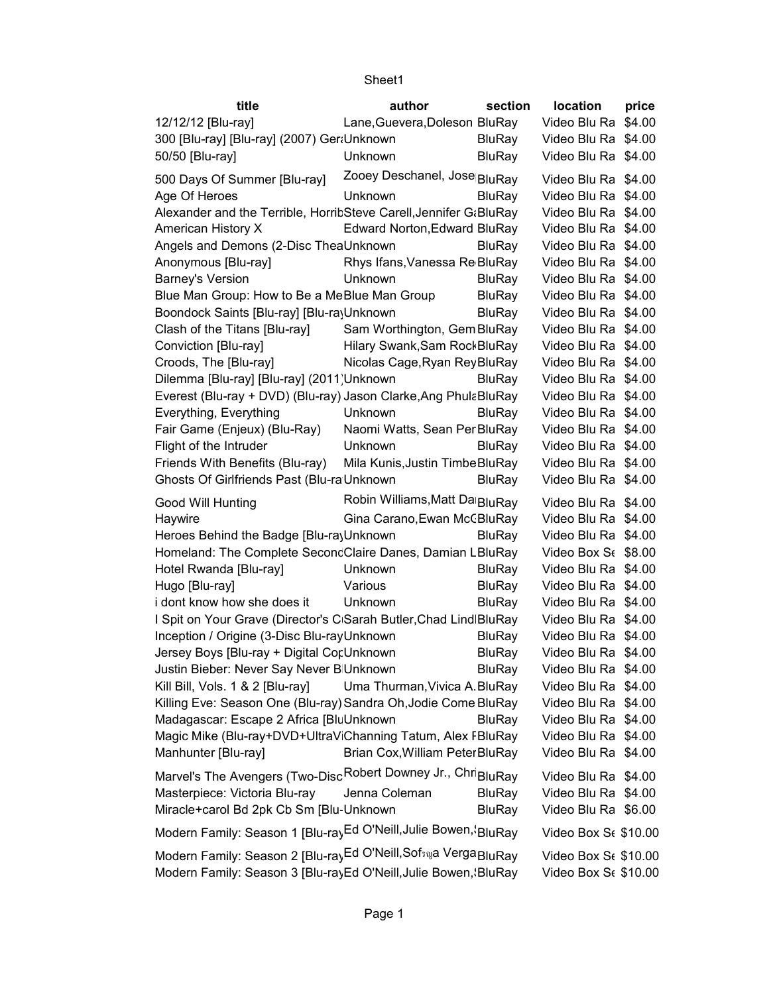| title                                                                     | author                          | section       | location                         | price |
|---------------------------------------------------------------------------|---------------------------------|---------------|----------------------------------|-------|
| 12/12/12 [Blu-ray]                                                        | Lane, Guevera, Doleson BluRay   |               | Video Blu Ra \$4.00              |       |
| 300 [Blu-ray] [Blu-ray] (2007) Ger Unknown                                |                                 | <b>BluRay</b> | Video Blu Ra \$4.00              |       |
| 50/50 [Blu-ray]                                                           | Unknown                         | <b>BluRay</b> | Video Blu Ra \$4.00              |       |
| 500 Days Of Summer [Blu-ray]                                              | Zooey Deschanel, Jose BluRay    |               | Video Blu Ra \$4.00              |       |
| Age Of Heroes                                                             | Unknown                         | <b>BluRay</b> | Video Blu Ra \$4.00              |       |
| Alexander and the Terrible, HorritSteve Carell, Jennifer G:BluRay         |                                 |               | Video Blu Ra \$4.00              |       |
| American History X                                                        | Edward Norton, Edward BluRay    |               | Video Blu Ra \$4.00              |       |
| Angels and Demons (2-Disc TheaUnknown                                     |                                 | <b>BluRay</b> | Video Blu Ra \$4.00              |       |
| Anonymous [Blu-ray]                                                       | Rhys Ifans, Vanessa Re BluRay   |               | Video Blu Ra \$4.00              |       |
| <b>Barney's Version</b>                                                   | Unknown                         | <b>BluRay</b> | Video Blu Ra \$4.00              |       |
| Blue Man Group: How to Be a MeBlue Man Group                              |                                 | <b>BluRay</b> | Video Blu Ra \$4.00              |       |
| Boondock Saints [Blu-ray] [Blu-rayUnknown                                 |                                 | <b>BluRay</b> | Video Blu Ra \$4.00              |       |
|                                                                           |                                 |               |                                  |       |
| Clash of the Titans [Blu-ray]                                             | Sam Worthington, Gem BluRay     |               | Video Blu Ra \$4.00              |       |
| Conviction [Blu-ray]                                                      | Hilary Swank, Sam Rock BluRay   |               | Video Blu Ra \$4.00              |       |
| Croods, The [Blu-ray]                                                     | Nicolas Cage, Ryan Rey BluRay   |               | Video Blu Ra \$4.00              |       |
| Dilemma [Blu-ray] [Blu-ray] (2011) Unknown                                |                                 | <b>BluRay</b> | Video Blu Ra \$4.00              |       |
| Everest (Blu-ray + DVD) (Blu-ray) Jason Clarke, Ang Phula Blu Ray         |                                 |               | Video Blu Ra \$4.00              |       |
| Everything, Everything                                                    | Unknown                         | <b>BluRay</b> | Video Blu Ra \$4.00              |       |
| Fair Game (Enjeux) (Blu-Ray)                                              | Naomi Watts, Sean PerBluRay     |               | Video Blu Ra \$4.00              |       |
| Flight of the Intruder                                                    | Unknown                         | <b>BluRay</b> | Video Blu Ra \$4.00              |       |
| Friends With Benefits (Blu-ray)                                           | Mila Kunis, Justin Timbe BluRay |               | Video Blu Ra \$4.00              |       |
| Ghosts Of Girlfriends Past (Blu-ra Unknown                                |                                 | <b>BluRay</b> | Video Blu Ra \$4.00              |       |
| Good Will Hunting                                                         | Robin Williams, Matt Da BluRay  |               | Video Blu Ra \$4.00              |       |
| Haywire                                                                   | Gina Carano, Ewan McCBluRay     |               | Video Blu Ra \$4.00              |       |
| Heroes Behind the Badge [Blu-ra]Unknown                                   |                                 | <b>BluRay</b> | Video Blu Ra \$4.00              |       |
|                                                                           |                                 |               |                                  |       |
| Homeland: The Complete SeconcClaire Danes, Damian LBluRay                 |                                 |               | Video Box S <sub>f</sub> \$8.00  |       |
| Hotel Rwanda [Blu-ray]                                                    | Unknown                         | <b>BluRay</b> | Video Blu Ra \$4.00              |       |
| Hugo [Blu-ray]                                                            | Various                         | <b>BluRay</b> | Video Blu Ra \$4.00              |       |
| i dont know how she does it                                               | Unknown                         | <b>BluRay</b> | Video Blu Ra \$4.00              |       |
| I Spit on Your Grave (Director's C Sarah Butler, Chad Lind BluRay         |                                 |               | Video Blu Ra \$4.00              |       |
| Inception / Origine (3-Disc Blu-rayUnknown                                |                                 | <b>BluRay</b> | Video Blu Ra \$4.00              |       |
| Jersey Boys [Blu-ray + Digital Cor Unknown                                |                                 | <b>BluRay</b> | Video Blu Ra \$4.00              |       |
| Justin Bieber: Never Say Never B Unknown                                  |                                 | <b>BluRay</b> | Video Blu Ra \$4.00              |       |
| Kill Bill, Vols. 1 & 2 [Blu-ray]                                          | Uma Thurman, Vivica A. BluRay   |               | Video Blu Ra \$4.00              |       |
| Killing Eve: Season One (Blu-ray) Sandra Oh, Jodie Come BluRay            |                                 |               | Video Blu Ra \$4.00              |       |
| Madagascar: Escape 2 Africa [BluUnknown                                   |                                 | <b>BluRay</b> | Video Blu Ra \$4.00              |       |
| Magic Mike (Blu-ray+DVD+UltraV Channing Tatum, Alex FBluRay               |                                 |               | Video Blu Ra \$4.00              |       |
| Manhunter [Blu-ray]                                                       | Brian Cox, William Peter BluRay |               | Video Blu Ra \$4.00              |       |
|                                                                           |                                 |               |                                  |       |
| Marvel's The Avengers (Two-Disc Robert Downey Jr., Chri <sub>BluRay</sub> |                                 |               | Video Blu Ra \$4.00              |       |
| Masterpiece: Victoria Blu-ray                                             | Jenna Coleman                   | <b>BluRay</b> | Video Blu Ra \$4.00              |       |
| Miracle+carol Bd 2pk Cb Sm [Blu-Unknown                                   |                                 | <b>BluRay</b> | Video Blu Ra \$6.00              |       |
| Modern Family: Season 1 [Blu-rayEd O'Neill, Julie Bowen, 'BluRay          |                                 |               | Video Box Se \$10.00             |       |
| Modern Family: Season 2 [Blu-rayEd O'Neill, Sofsnya Verga BluRay          |                                 |               | Video Box S <sub>6</sub> \$10.00 |       |
| Modern Family: Season 3 [Blu-rayEd O'Neill, Julie Bowen, 'BluRay          |                                 |               | Video Box S <sub>6</sub> \$10.00 |       |
|                                                                           |                                 |               |                                  |       |